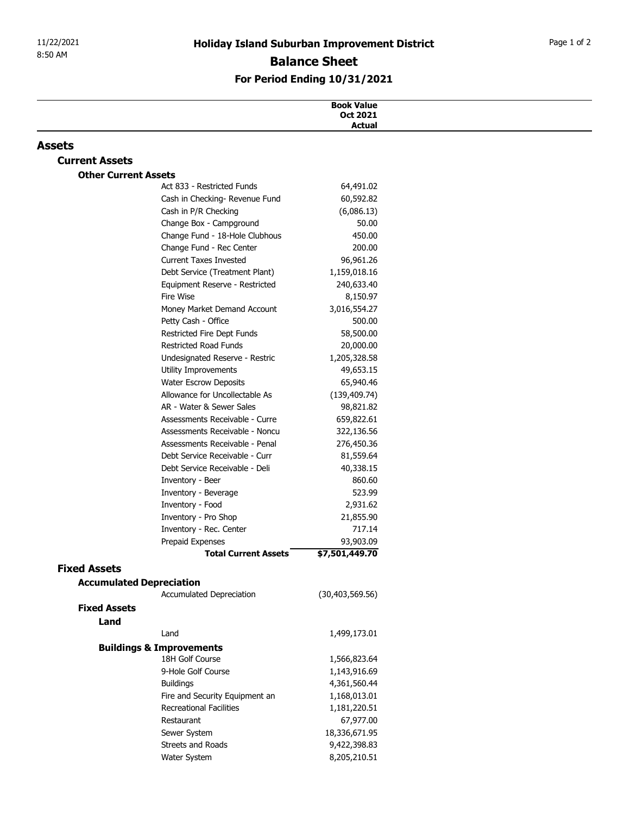| 8:50 AM                     |                                                                  | <b>Holiday Island Suburban Improvement District</b> |  |
|-----------------------------|------------------------------------------------------------------|-----------------------------------------------------|--|
|                             |                                                                  | <b>Balance Sheet</b>                                |  |
|                             |                                                                  | For Period Ending 10/31/2021                        |  |
|                             |                                                                  |                                                     |  |
|                             |                                                                  | <b>Book Value</b><br>Oct 2021                       |  |
|                             |                                                                  | <b>Actual</b>                                       |  |
| Assets                      |                                                                  |                                                     |  |
| <b>Current Assets</b>       |                                                                  |                                                     |  |
| <b>Other Current Assets</b> | Act 833 - Restricted Funds                                       | 64,491.02                                           |  |
|                             | Cash in Checking- Revenue Fund                                   | 60,592.82                                           |  |
|                             | Cash in P/R Checking                                             | (6,086.13)                                          |  |
|                             | Change Box - Campground                                          | 50.00                                               |  |
|                             | Change Fund - 18-Hole Clubhous                                   | 450.00                                              |  |
|                             | Change Fund - Rec Center                                         | 200.00                                              |  |
|                             | <b>Current Taxes Invested</b><br>Debt Service (Treatment Plant)  | 96,961.26<br>1,159,018.16                           |  |
|                             | Equipment Reserve - Restricted                                   | 240,633.40                                          |  |
|                             | Fire Wise                                                        | 8,150.97                                            |  |
|                             | Money Market Demand Account                                      | 3,016,554.27                                        |  |
|                             | Petty Cash - Office                                              | 500.00                                              |  |
|                             | Restricted Fire Dept Funds                                       | 58,500.00                                           |  |
|                             | Restricted Road Funds<br>Undesignated Reserve - Restric          | 20,000.00                                           |  |
|                             | Utility Improvements                                             | 1,205,328.58<br>49,653.15                           |  |
|                             | <b>Water Escrow Deposits</b>                                     | 65,940.46                                           |  |
|                             | Allowance for Uncollectable As                                   | (139, 409.74)                                       |  |
|                             | AR - Water & Sewer Sales                                         | 98,821.82                                           |  |
|                             | Assessments Receivable - Curre                                   | 659,822.61                                          |  |
|                             | Assessments Receivable - Noncu<br>Assessments Receivable - Penal | 322,136.56                                          |  |
|                             | Debt Service Receivable - Curr                                   | 276,450.36<br>81,559.64                             |  |
|                             | Debt Service Receivable - Deli                                   | 40,338.15                                           |  |
|                             | Inventory - Beer                                                 | 860.60                                              |  |
|                             | Inventory - Beverage                                             | 523.99                                              |  |
|                             | Inventory - Food                                                 | 2,931.62                                            |  |
|                             | Inventory - Pro Shop                                             | 21,855.90                                           |  |
|                             | Inventory - Rec. Center<br>Prepaid Expenses                      | 717.14<br>93,903.09                                 |  |
|                             | <b>Total Current Assets</b>                                      | \$7,501,449.70                                      |  |
| <b>Fixed Assets</b>         |                                                                  |                                                     |  |
|                             | <b>Accumulated Depreciation</b>                                  |                                                     |  |
|                             | Accumulated Depreciation                                         | (30, 403, 569.56)                                   |  |
| <b>Fixed Assets</b>         |                                                                  |                                                     |  |
| Land                        |                                                                  |                                                     |  |
|                             | Land                                                             | 1,499,173.01                                        |  |
|                             | <b>Buildings &amp; Improvements</b><br>18H Golf Course           | 1,566,823.64                                        |  |
|                             | 9-Hole Golf Course                                               | 1,143,916.69                                        |  |
|                             | <b>Buildings</b>                                                 | 4,361,560.44                                        |  |
|                             | Fire and Security Equipment an                                   | 1,168,013.01                                        |  |
|                             | <b>Recreational Facilities</b>                                   | 1,181,220.51                                        |  |
|                             | Restaurant                                                       | 67,977.00                                           |  |
|                             | Sewer System                                                     | 18,336,671.95                                       |  |
|                             | Streets and Roads<br>Water System                                | 9,422,398.83<br>8,205,210.51                        |  |